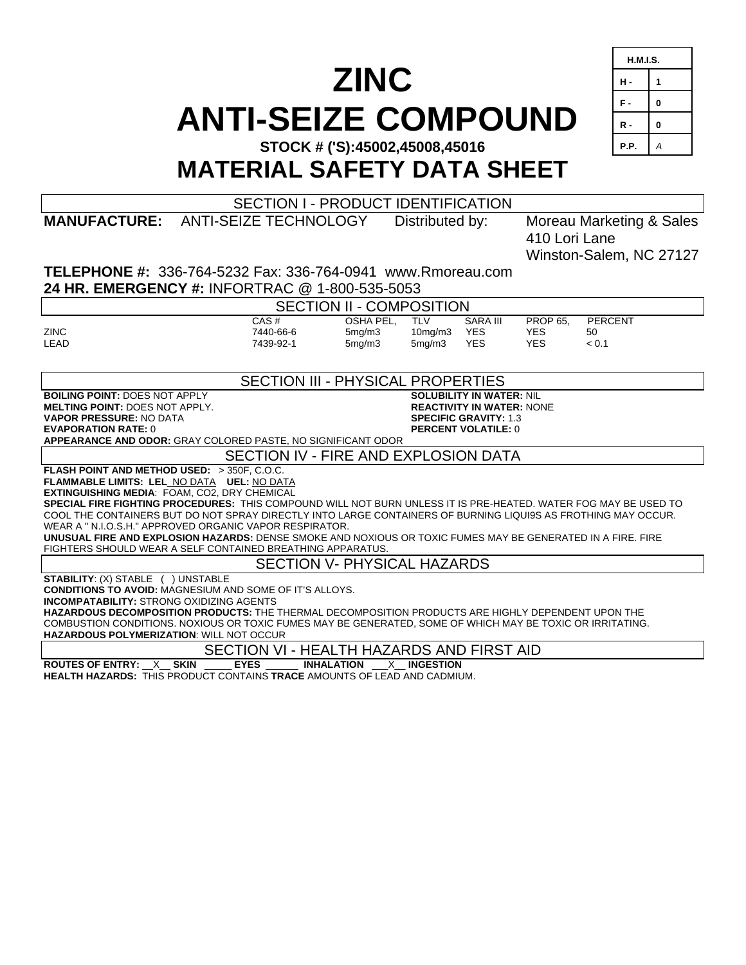# **ZINC ANTI-SEIZE COMPOUND**

| <b>H.M.I.S.</b> |   |  |  |
|-----------------|---|--|--|
| н.              | 1 |  |  |
| F.              | 0 |  |  |
| R -             | 0 |  |  |
| P.P.            | А |  |  |

**STOCK # ('S):45002,45008,45016** 

**MATERIAL SAFETY DATA SHEET** 

| <b>SECTION I - PRODUCT IDENTIFICATION</b>                                                                                                                       |                                                                                                           |           |                 |                            |                          |                         |  |  |
|-----------------------------------------------------------------------------------------------------------------------------------------------------------------|-----------------------------------------------------------------------------------------------------------|-----------|-----------------|----------------------------|--------------------------|-------------------------|--|--|
|                                                                                                                                                                 | <b>MANUFACTURE: ANTI-SEIZE TECHNOLOGY</b>                                                                 |           | Distributed by: |                            | Moreau Marketing & Sales |                         |  |  |
|                                                                                                                                                                 |                                                                                                           |           |                 |                            | 410 Lori Lane            |                         |  |  |
|                                                                                                                                                                 |                                                                                                           |           |                 |                            |                          | Winston-Salem, NC 27127 |  |  |
| <b>TELEPHONE #: 336-764-5232 Fax: 336-764-0941 www.Rmoreau.com</b>                                                                                              |                                                                                                           |           |                 |                            |                          |                         |  |  |
| 24 HR. EMERGENCY #: INFORTRAC @ 1-800-535-5053                                                                                                                  |                                                                                                           |           |                 |                            |                          |                         |  |  |
| <b>SECTION II - COMPOSITION</b>                                                                                                                                 |                                                                                                           |           |                 |                            |                          |                         |  |  |
|                                                                                                                                                                 | CAS#                                                                                                      | OSHA PEL. | <b>TLV</b>      | <b>SARA III</b>            | <b>PROP 65.</b>          | <b>PERCENT</b>          |  |  |
| <b>ZINC</b>                                                                                                                                                     | 7440-66-6                                                                                                 | 5mg/m3    | 10mg/m3         | <b>YES</b>                 | <b>YES</b>               | 50                      |  |  |
| <b>LEAD</b>                                                                                                                                                     | 7439-92-1                                                                                                 | 5mg/m3    | 5mg/m3          | <b>YES</b>                 | <b>YES</b>               | < 0.1                   |  |  |
|                                                                                                                                                                 |                                                                                                           |           |                 |                            |                          |                         |  |  |
| <b>SECTION III - PHYSICAL PROPERTIES</b>                                                                                                                        |                                                                                                           |           |                 |                            |                          |                         |  |  |
|                                                                                                                                                                 | <b>BOILING POINT: DOES NOT APPLY</b><br><b>SOLUBILITY IN WATER: NIL</b>                                   |           |                 |                            |                          |                         |  |  |
| <b>VAPOR PRESSURE: NO DATA</b>                                                                                                                                  | <b>MELTING POINT: DOES NOT APPLY.</b><br><b>REACTIVITY IN WATER: NONE</b><br><b>SPECIFIC GRAVITY: 1.3</b> |           |                 |                            |                          |                         |  |  |
| <b>EVAPORATION RATE: 0</b>                                                                                                                                      |                                                                                                           |           |                 | <b>PERCENT VOLATILE: 0</b> |                          |                         |  |  |
| APPEARANCE AND ODOR: GRAY COLORED PASTE, NO SIGNIFICANT ODOR                                                                                                    |                                                                                                           |           |                 |                            |                          |                         |  |  |
| SECTION IV - FIRE AND EXPLOSION DATA                                                                                                                            |                                                                                                           |           |                 |                            |                          |                         |  |  |
| FLASH POINT AND METHOD USED: > 350F, C.O.C.                                                                                                                     |                                                                                                           |           |                 |                            |                          |                         |  |  |
| FLAMMABLE LIMITS: LEL NO DATA UEL: NO DATA                                                                                                                      |                                                                                                           |           |                 |                            |                          |                         |  |  |
| EXTINGUISHING MEDIA: FOAM, CO2, DRY CHEMICAL<br>SPECIAL FIRE FIGHTING PROCEDURES: THIS COMPOUND WILL NOT BURN UNLESS IT IS PRE-HEATED. WATER FOG MAY BE USED TO |                                                                                                           |           |                 |                            |                          |                         |  |  |
| COOL THE CONTAINERS BUT DO NOT SPRAY DIRECTLY INTO LARGE CONTAINERS OF BURNING LIQUI9S AS FROTHING MAY OCCUR.                                                   |                                                                                                           |           |                 |                            |                          |                         |  |  |
| WEAR A " N.I.O.S.H." APPROVED ORGANIC VAPOR RESPIRATOR.                                                                                                         |                                                                                                           |           |                 |                            |                          |                         |  |  |
| UNUSUAL FIRE AND EXPLOSION HAZARDS: DENSE SMOKE AND NOXIOUS OR TOXIC FUMES MAY BE GENERATED IN A FIRE. FIRE                                                     |                                                                                                           |           |                 |                            |                          |                         |  |  |
| FIGHTERS SHOULD WEAR A SELF CONTAINED BREATHING APPARATUS.                                                                                                      |                                                                                                           |           |                 |                            |                          |                         |  |  |
| <b>SECTION V- PHYSICAL HAZARDS</b>                                                                                                                              |                                                                                                           |           |                 |                            |                          |                         |  |  |
| <b>STABILITY: (X) STABLE ( ) UNSTABLE</b>                                                                                                                       |                                                                                                           |           |                 |                            |                          |                         |  |  |
| <b>CONDITIONS TO AVOID: MAGNESIUM AND SOME OF IT'S ALLOYS.</b>                                                                                                  |                                                                                                           |           |                 |                            |                          |                         |  |  |
| <b>INCOMPATABILITY: STRONG OXIDIZING AGENTS</b><br>HAZARDOUS DECOMPOSITION PRODUCTS: THE THERMAL DECOMPOSITION PRODUCTS ARE HIGHLY DEPENDENT UPON THE           |                                                                                                           |           |                 |                            |                          |                         |  |  |
| COMBUSTION CONDITIONS. NOXIOUS OR TOXIC FUMES MAY BE GENERATED, SOME OF WHICH MAY BE TOXIC OR IRRITATING.                                                       |                                                                                                           |           |                 |                            |                          |                         |  |  |
| HAZARDOUS POLYMERIZATION: WILL NOT OCCUR                                                                                                                        |                                                                                                           |           |                 |                            |                          |                         |  |  |
| SECTION VI - HEALTH HAZARDS AND FIRST AID                                                                                                                       |                                                                                                           |           |                 |                            |                          |                         |  |  |
| <b>ROUTES OF ENTRY: X SKIN</b><br><b>EYES</b><br><b>INHALATION</b><br><b>X</b> INGESTION                                                                        |                                                                                                           |           |                 |                            |                          |                         |  |  |
| <b>HEALTH HAZARDS: THIS PRODUCT CONTAINS TRACE AMOUNTS OF LEAD AND CADMIUM.</b>                                                                                 |                                                                                                           |           |                 |                            |                          |                         |  |  |